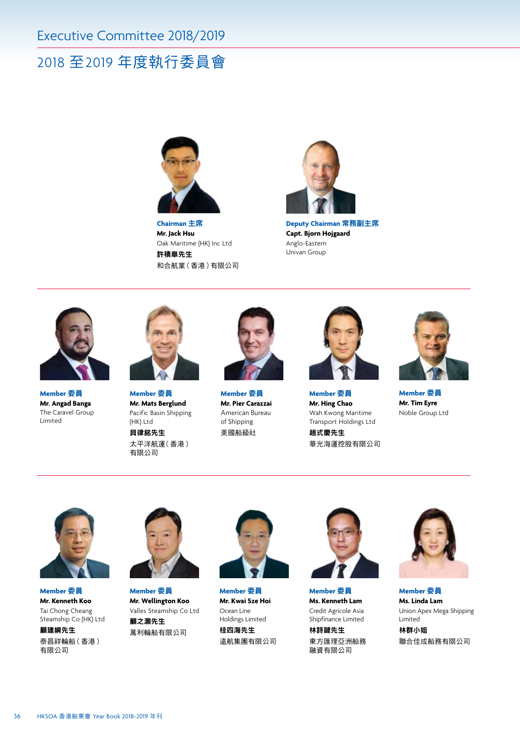## 2018 至2019 年度執行委員會



**Chairman** 主席 **Mr. Jack Hsu** Oak Maritime (HK) Inc Ltd 許積皐先生 和合航業(香港)有限公司



**Deputy Chairman** 常務副主席 **Capt. Bjorn Hojgaard** Anglo-Eastern Univan Group



**Member** 委員 **Mr. Angad Banga** The Caravel Group Limited



**Member** 委員 **Mr. Mats Berglund** Pacific Basin Shipping (HK) Ltd 貝律銘先生

太平洋航運(香港) 有限公司



**Member** 委員 **Mr. Pier Carazzai** American Bureau of Shipping 美國船級社



**Member** 委員 **Mr. Hing Chao** Wah Kwong Maritime Transport Holdings Ltd 趙式慶先生 華光海運控股有限公司



**Member** 委員 **Mr. Tim Eyre** Noble Group Ltd



**Member** 委員 **Mr. Kenneth Koo** Tai Chong Cheang Steamship Co (HK) Ltd

**顧**建綱先生 泰昌祥輪船(香港) 有限公司



**Member** 委員 **Mr. Wellington Koo** Valles Steamship Co Ltd 顧之灝先生 萬利輪船有限公司



**Member** 委員 **Mr. Kwai Sze Hoi** Ocean Line Holdings Limited 桂四海先生 遠航集團有限公司



**Member** 委員 **Ms. Kenneth Lam** Credit Agricole Asia Shipfinance Limited

林詩鍵先生 東方匯理亞洲船務 融資有限公司



**Member** 委員 **Ms. Linda Lam** Union Apex Mega Shipping Limited

林群小姐 聯合佳成船務有限公司